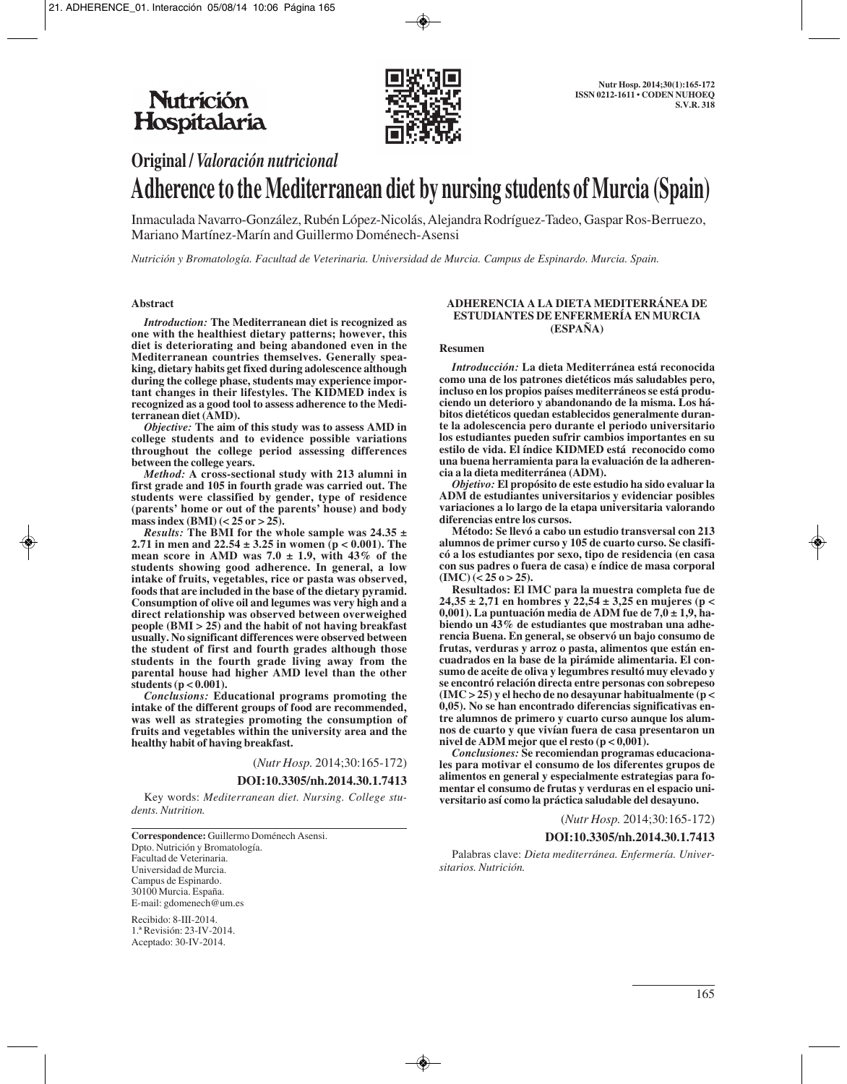

# **Original /** *Valoración nutricional*

# **Adherence to the Mediterranean diet by nursing students of Murcia (Spain)**

Inmaculada Navarro-González, Rubén López-Nicolás, Alejandra Rodríguez-Tadeo, Gaspar Ros-Berruezo, Mariano Martínez-Marín and Guillermo Doménech-Asensi

*Nutrición y Bromatología. Facultad de Veterinaria. Universidad de Murcia. Campus de Espinardo. Murcia. Spain.*

#### **Abstract**

*Introduction:* **The Mediterranean diet is recognized as one with the healthiest dietary patterns; however, this diet is deteriorating and being abandoned even in the Mediterranean countries themselves. Generally speaking, dietary habits get fixed during adolescence although during the college phase, students may experience important changes in their lifestyles. The KIDMED index is recognized as a good tool to assess adherence to the Mediterranean diet (AMD).**

*Objective:* **The aim of this study was to assess AMD in college students and to evidence possible variations throughout the college period assessing differences between the college years.**

*Method:* **A cross-sectional study with 213 alumni in first grade and 105 in fourth grade was carried out. The students were classified by gender, type of residence (parents' home or out of the parents' house) and body mass index (BMI) (< 25 or > 25).**

*Results:* **The BMI for the whole sample was 24.35 ± 2.71 in men and 22.54**  $\pm$  **3.25 in women (p < 0.001). The mean score in AMD was 7.0**  $\pm$  **1.9, with 43% of the students showing good adherence. In general, a low intake of fruits, vegetables, rice or pasta was observed, foods that are included in the base of the dietary pyramid. Consumption of olive oil and legumes was very high and a direct relationship was observed between overweighed people (BMI > 25) and the habit of not having breakfast usually. No significant differences were observed between the student of first and fourth grades although those students in the fourth grade living away from the parental house had higher AMD level than the other students (p < 0.001).**

*Conclusions:* **Educational programs promoting the intake of the different groups of food are recommended, was well as strategies promoting the consumption of fruits and vegetables within the university area and the healthy habit of having breakfast.**

(*Nutr Hosp.* 2014;30:165-172)

**DOI:10.3305/nh.2014.30.1.7413**

Key words: *Mediterranean diet. Nursing. College students. Nutrition.*

**Correspondence:** Guillermo Doménech Asensi. Dpto. Nutrición y Bromatología. Facultad de Veterinaria. Universidad de Murcia. Campus de Espinardo. 30100 Murcia. España. E-mail: gdomenech@um.es

Recibido: 8-III-2014. 1.ª Revisión: 23-IV-2014. Aceptado: 30-IV-2014.

#### **ADHERENCIA A LA DIETA MEDITERRÁNEA DE ESTUDIANTES DE ENFERMERÍA EN MURCIA (ESPAÑA)**

#### **Resumen**

*Introducción:* **La dieta Mediterránea está reconocida como una de los patrones dietéticos más saludables pero, incluso en los propios países mediterráneos se está produciendo un deterioro y abandonando de la misma. Los hábitos dietéticos quedan establecidos generalmente durante la adolescencia pero durante el periodo universitario los estudiantes pueden sufrir cambios importantes en su estilo de vida. El índice KIDMED está reconocido como una buena herramienta para la evaluación de la adherencia a la dieta mediterránea (ADM).**

*Objetivo:* **El propósito de este estudio ha sido evaluar la ADM de estudiantes universitarios y evidenciar posibles variaciones a lo largo de la etapa universitaria valorando diferencias entre los cursos.**

**Método: Se llevó a cabo un estudio transversal con 213 alumnos de primer curso y 105 de cuarto curso. Se clasificó a los estudiantes por sexo, tipo de residencia (en casa con sus padres o fuera de casa) e índice de masa corporal**  $(MC)$  (< 25 o > 25).

**Resultados: El IMC para la muestra completa fue de 24,35 ± 2,71 en hombres y 22,54 ± 3,25 en mujeres (p < 0,001). La puntuación media de ADM fue de 7,0 ± 1,9, habiendo un 43% de estudiantes que mostraban una adherencia Buena. En general, se observó un bajo consumo de frutas, verduras y arroz o pasta, alimentos que están encuadrados en la base de la pirámide alimentaria. El consumo de aceite de oliva y legumbres resultó muy elevado y se encontró relación directa entre personas con sobrepeso (IMC > 25) y el hecho de no desayunar habitualmente (p < 0,05). No se han encontrado diferencias significativas entre alumnos de primero y cuarto curso aunque los alumnos de cuarto y que vivían fuera de casa presentaron un nivel de ADM mejor que el resto (p < 0,001).**

*Conclusiones:* **Se recomiendan programas educacionales para motivar el consumo de los diferentes grupos de alimentos en general y especialmente estrategias para fomentar el consumo de frutas y verduras en el espacio universitario así como la práctica saludable del desayuno.**

(*Nutr Hosp.* 2014;30:165-172)

#### **DOI:10.3305/nh.2014.30.1.7413**

Palabras clave: *Dieta mediterránea. Enfermería. Universitarios. Nutrición.*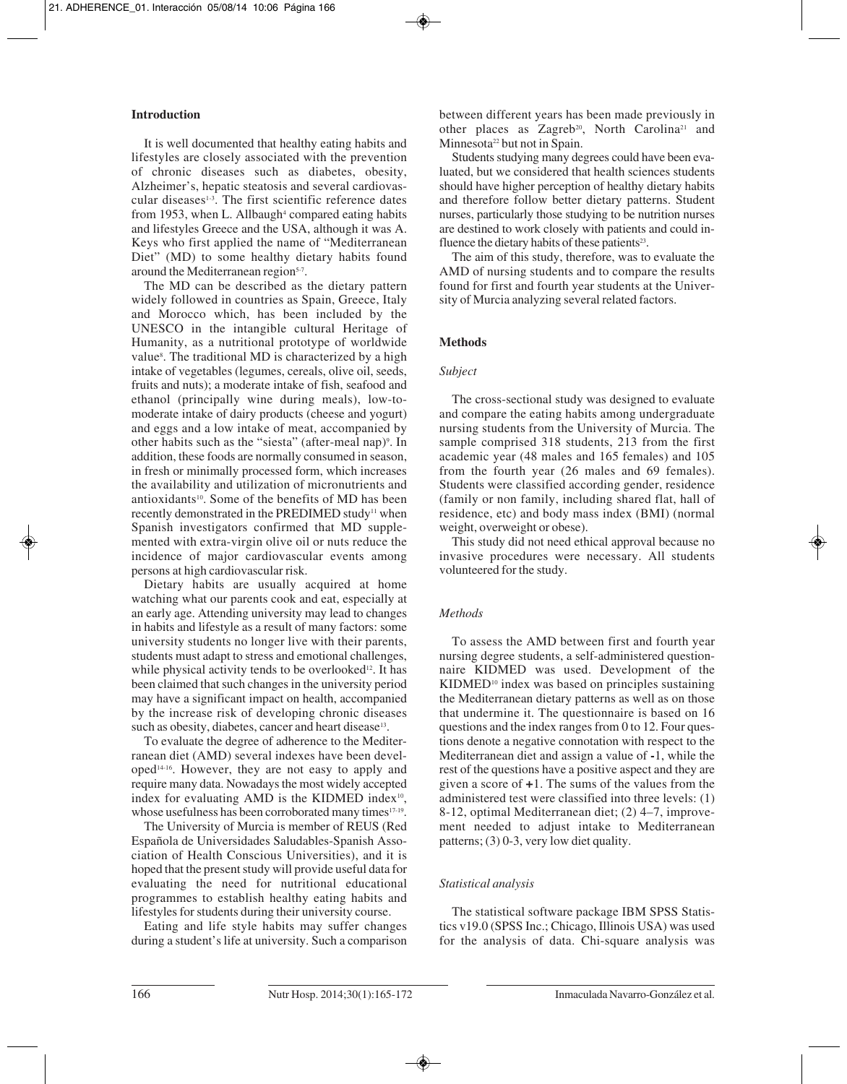# **Introduction**

It is well documented that healthy eating habits and lifestyles are closely associated with the prevention of chronic diseases such as diabetes, obesity, Alzheimer's, hepatic steatosis and several cardiovascular diseases<sup>1-3</sup>. The first scientific reference dates from 1953, when L. Allbaugh<sup>4</sup> compared eating habits and lifestyles Greece and the USA, although it was A. Keys who first applied the name of "Mediterranean Diet" (MD) to some healthy dietary habits found around the Mediterranean region<sup>5-7</sup>.

The MD can be described as the dietary pattern widely followed in countries as Spain, Greece, Italy and Morocco which, has been included by the UNESCO in the intangible cultural Heritage of Humanity, as a nutritional prototype of worldwide value8 . The traditional MD is characterized by a high intake of vegetables (legumes, cereals, olive oil, seeds, fruits and nuts); a moderate intake of fish, seafood and ethanol (principally wine during meals), low-tomoderate intake of dairy products (cheese and yogurt) and eggs and a low intake of meat, accompanied by other habits such as the "siesta" (after-meal nap)<sup>9</sup>. In addition, these foods are normally consumed in season, in fresh or minimally processed form, which increases the availability and utilization of micronutrients and antioxidants<sup>10</sup>. Some of the benefits of MD has been recently demonstrated in the PREDIMED study<sup>11</sup> when Spanish investigators confirmed that MD supplemented with extra-virgin olive oil or nuts reduce the incidence of major cardiovascular events among persons at high cardiovascular risk.

Dietary habits are usually acquired at home watching what our parents cook and eat, especially at an early age. Attending university may lead to changes in habits and lifestyle as a result of many factors: some university students no longer live with their parents, students must adapt to stress and emotional challenges, while physical activity tends to be overlooked<sup>12</sup>. It has been claimed that such changes in the university period may have a significant impact on health, accompanied by the increase risk of developing chronic diseases such as obesity, diabetes, cancer and heart disease<sup>13</sup>.

To evaluate the degree of adherence to the Mediterranean diet (AMD) several indexes have been developed14-16. However, they are not easy to apply and require many data. Nowadays the most widely accepted index for evaluating AMD is the KIDMED index $10$ , whose usefulness has been corroborated many times<sup>17-19</sup>.

The University of Murcia is member of REUS (Red Española de Universidades Saludables-Spanish Association of Health Conscious Universities), and it is hoped that the present study will provide useful data for evaluating the need for nutritional educational programmes to establish healthy eating habits and lifestyles for students during their university course.

Eating and life style habits may suffer changes during a student's life at university. Such a comparison

between different years has been made previously in other places as Zagreb<sup>20</sup>, North Carolina<sup>21</sup> and Minnesota<sup>22</sup> but not in Spain.

Students studying many degrees could have been evaluated, but we considered that health sciences students should have higher perception of healthy dietary habits and therefore follow better dietary patterns. Student nurses, particularly those studying to be nutrition nurses are destined to work closely with patients and could in fluence the dietary habits of these patients $23$ .

The aim of this study, therefore, was to evaluate the AMD of nursing students and to compare the results found for first and fourth year students at the University of Murcia analyzing several related factors.

## **Methods**

#### *Subject*

The cross-sectional study was designed to evaluate and compare the eating habits among undergraduate nursing students from the University of Murcia. The sample comprised 318 students, 213 from the first academic year (48 males and 165 females) and 105 from the fourth year (26 males and 69 females). Students were classified according gender, residence (family or non family, including shared flat, hall of residence, etc) and body mass index (BMI) (normal weight, overweight or obese).

This study did not need ethical approval because no invasive procedures were necessary. All students volunteered for the study.

#### *Methods*

To assess the AMD between first and fourth year nursing degree students, a self-administered questionnaire KIDMED was used. Development of the KIDMED<sup>10</sup> index was based on principles sustaining the Mediterranean dietary patterns as well as on those that undermine it. The questionnaire is based on 16 questions and the index ranges from 0 to 12. Four questions denote a negative connotation with respect to the Mediterranean diet and assign a value of **-**1, while the rest of the questions have a positive aspect and they are given a score of **+**1. The sums of the values from the administered test were classified into three levels: (1) 8-12, optimal Mediterranean diet; (2) 4–7, improvement needed to adjust intake to Mediterranean patterns; (3) 0-3, very low diet quality.

#### *Statistical analysis*

The statistical software package IBM SPSS Statistics v19.0 (SPSS Inc.; Chicago, Illinois USA) was used for the analysis of data. Chi-square analysis was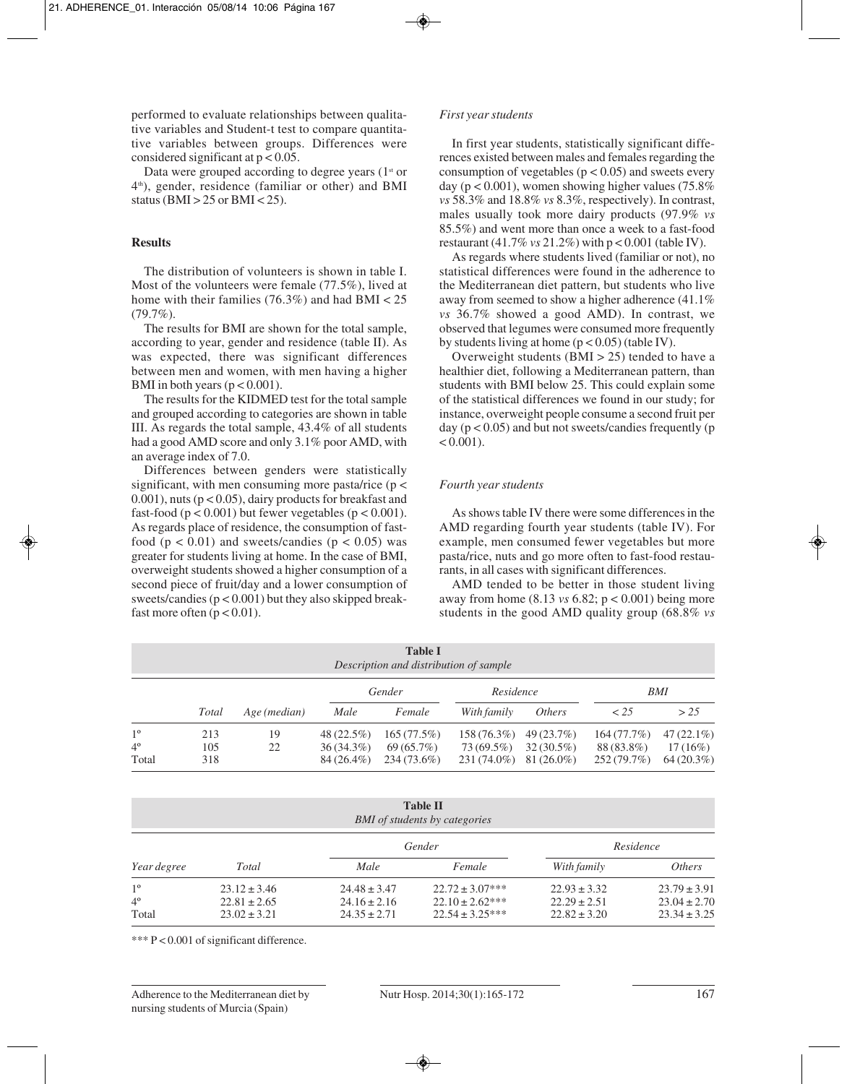performed to evaluate relationships between qualitative variables and Student-t test to compare quantitative variables between groups. Differences were considered significant at  $p < 0.05$ .

Data were grouped according to degree years  $(1<sup>st</sup>$  or 4th), gender, residence (familiar or other) and BMI status ( $BMI > 25$  or  $BMI < 25$ ).

#### **Results**

The distribution of volunteers is shown in table I. Most of the volunteers were female (77.5%), lived at home with their families  $(76.3\%)$  and had BMI < 25  $(79.7\%)$ .

The results for BMI are shown for the total sample, according to year, gender and residence (table II). As was expected, there was significant differences between men and women, with men having a higher BMI in both years ( $p < 0.001$ ).

The results for the KIDMED test for the total sample and grouped according to categories are shown in table III. As regards the total sample, 43.4% of all students had a good AMD score and only 3.1% poor AMD, with an average index of 7.0.

Differences between genders were statistically significant, with men consuming more pasta/rice ( $p$  < 0.001), nuts ( $p < 0.05$ ), dairy products for breakfast and fast-food ( $p < 0.001$ ) but fewer vegetables ( $p < 0.001$ ). As regards place of residence, the consumption of fastfood ( $p < 0.01$ ) and sweets/candies ( $p < 0.05$ ) was greater for students living at home. In the case of BMI, overweight students showed a higher consumption of a second piece of fruit/day and a lower consumption of sweets/candies  $(p < 0.001)$  but they also skipped breakfast more often  $(p < 0.01)$ .

## *First year students*

In first year students, statistically significant diffe rences existed between males and females regarding the consumption of vegetables ( $p < 0.05$ ) and sweets every day ( $p < 0.001$ ), women showing higher values (75.8%) *vs* 58.3% and 18.8% *vs* 8.3%, respectively). In contrast, males usually took more dairy products (97.9% *vs* 85.5%) and went more than once a week to a fast-food restaurant (41.7% *vs* 21.2%) with p < 0.001 (table IV).

As regards where students lived (familiar or not), no statistical differences were found in the adherence to the Mediterranean diet pattern, but students who live away from seemed to show a higher adherence (41.1% *vs* 36.7% showed a good AMD). In contrast, we observed that legumes were consumed more frequently by students living at home  $(p < 0.05)$  (table IV).

Overweight students  $(BMI > 25)$  tended to have a healthier diet, following a Mediterranean pattern, than students with BMI below 25. This could explain some of the statistical differences we found in our study; for instance, overweight people consume a second fruit per day ( $p < 0.05$ ) and but not sweets/candies frequently ( $p$ )  $< 0.001$ ).

# *Fourth year students*

As shows table IV there were some differences in the AMD regarding fourth year students (table IV). For example, men consumed fewer vegetables but more pasta/rice, nuts and go more often to fast-food restaurants, in all cases with significant differences.

AMD tended to be better in those student living away from home (8.13 *vs* 6.82; p < 0.001) being more students in the good AMD quality group (68.8% *vs*

|             |       |              |              | <b>Table I</b><br>Description and distribution of sample |               |               |             |              |
|-------------|-------|--------------|--------------|----------------------------------------------------------|---------------|---------------|-------------|--------------|
|             |       |              |              | Gender                                                   | Residence     |               |             | BMI          |
|             | Total | Age (median) | Male         | Female                                                   | With family   | <i>Others</i> | < 25        | > 2.5        |
| $1^{\circ}$ | 213   | 19           | $48(22.5\%)$ | 165(77.5%)                                               | 158 (76.3%)   | 49(23.7%)     | 164(77.7%)  | $47(22.1\%)$ |
| $4^{\circ}$ | 105   | 22           | $36(34.3\%)$ | 69(65.7%)                                                | 73 (69.5%)    | $32(30.5\%)$  | 88 (83.8%)  | $17(16\%)$   |
| Total       | 318   |              | 84 (26.4%)   | 234 (73.6%)                                              | $231(74.0\%)$ | $81(26.0\%)$  | 252 (79.7%) | $64(20.3\%)$ |

|                                     |                                                          |                                                          | <b>Table II</b><br><b>BMI</b> of students by categories             |                                                          |                                                          |
|-------------------------------------|----------------------------------------------------------|----------------------------------------------------------|---------------------------------------------------------------------|----------------------------------------------------------|----------------------------------------------------------|
|                                     |                                                          |                                                          | Gender                                                              |                                                          | Residence                                                |
| Year degree                         | Total                                                    | Male                                                     | Female                                                              | With family                                              | <i>Others</i>                                            |
| $1^{\circ}$<br>$4^{\circ}$<br>Total | $23.12 \pm 3.46$<br>$22.81 \pm 2.65$<br>$23.02 \pm 3.21$ | $24.48 \pm 3.47$<br>$24.16 \pm 2.16$<br>$24.35 \pm 2.71$ | $22.72 \pm 3.07$ ***<br>$22.10 \pm 2.62$ ***<br>$22.54 \pm 3.25***$ | $22.93 \pm 3.32$<br>$22.29 \pm 2.51$<br>$22.82 \pm 3.20$ | $23.79 \pm 3.91$<br>$23.04 \pm 2.70$<br>$23.34 \pm 3.25$ |

\*\*\* P < 0.001 of significant difference.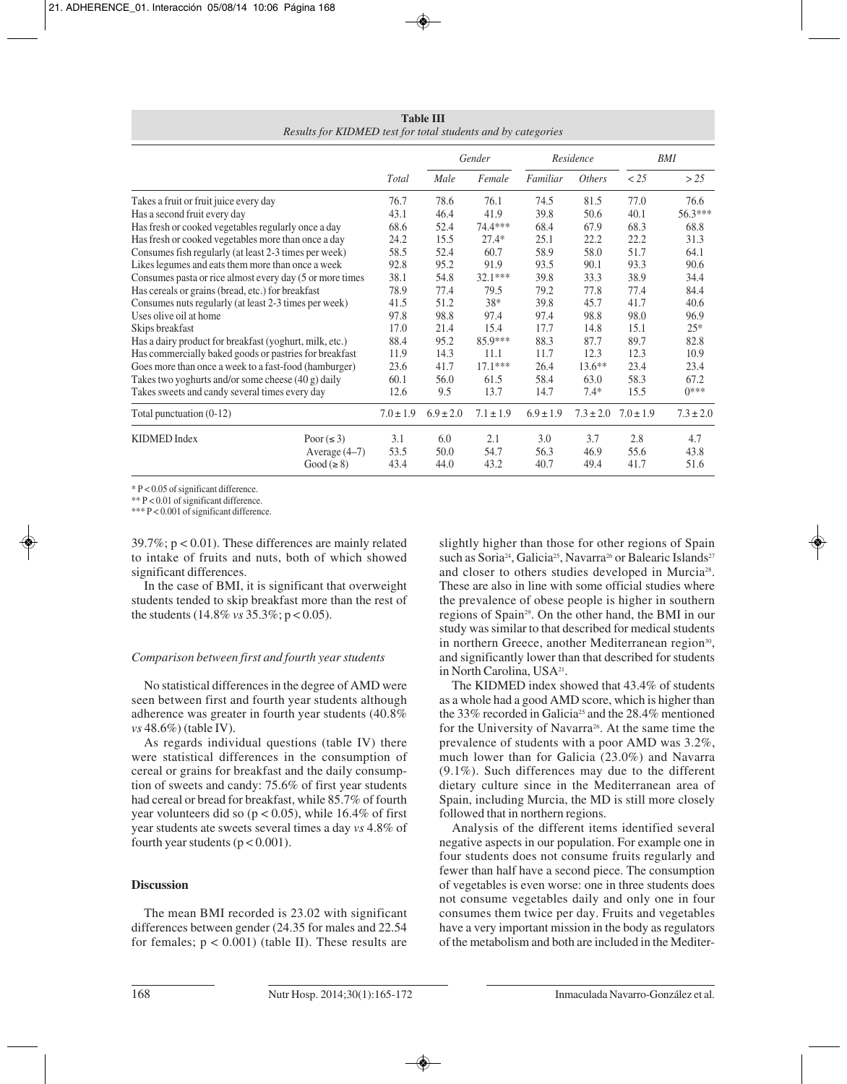| <b>Table III</b>                                             |  |
|--------------------------------------------------------------|--|
| Results for KIDMED test for total students and by categories |  |

|                                                           |                 |               |               | Gender        |               | Residence     |               | BMI           |
|-----------------------------------------------------------|-----------------|---------------|---------------|---------------|---------------|---------------|---------------|---------------|
|                                                           |                 | Total         | Male          | Female        | Familiar      | <i>Others</i> | < 25          | >25           |
| Takes a fruit or fruit juice every day                    |                 | 76.7          | 78.6          | 76.1          | 74.5          | 81.5          | 77.0          | 76.6          |
| Has a second fruit every day                              |                 | 43.1          | 46.4          | 41.9          | 39.8          | 50.6          | 40.1          | $56.3***$     |
| Has fresh or cooked vegetables regularly once a day       |                 | 68.6          | 52.4          | 74.4***       | 68.4          | 67.9          | 68.3          | 68.8          |
| Has fresh or cooked vegetables more than once a day       |                 | 24.2          | 15.5          | $27.4*$       | 25.1          | 22.2          | 22.2          | 31.3          |
| Consumes fish regularly (at least 2-3 times per week)     |                 | 58.5          | 52.4          | 60.7          | 58.9          | 58.0          | 51.7          | 64.1          |
| Likes legumes and eats them more than once a week         |                 | 92.8          | 95.2          | 91.9          | 93.5          | 90.1          | 93.3          | 90.6          |
| Consumes pasta or rice almost every day (5 or more times) |                 | 38.1          | 54.8          | $32.1***$     | 39.8          | 33.3          | 38.9          | 34.4          |
| Has cereals or grains (bread, etc.) for breakfast         |                 | 78.9          | 77.4          | 79.5          | 79.2          | 77.8          | 77.4          | 84.4          |
| Consumes nuts regularly (at least 2-3 times per week)     |                 | 41.5          | 51.2          | $38*$         | 39.8          | 45.7          | 41.7          | 40.6          |
| Uses olive oil at home                                    |                 | 97.8          | 98.8          | 97.4          | 97.4          | 98.8          | 98.0          | 96.9          |
| Skips breakfast                                           |                 | 17.0          | 21.4          | 15.4          | 17.7          | 14.8          | 15.1          | $25*$         |
| Has a dairy product for breakfast (yoghurt, milk, etc.)   |                 | 88.4          | 95.2          | $85.9***$     | 88.3          | 87.7          | 89.7          | 82.8          |
| Has commercially baked goods or pastries for breakfast    |                 | 11.9          | 14.3          | 11.1          | 11.7          | 12.3          | 12.3          | 10.9          |
| Goes more than once a week to a fast-food (hamburger)     |                 | 23.6          | 41.7          | $17.1***$     | 26.4          | $13.6**$      | 23.4          | 23.4          |
| Takes two yoghurts and/or some cheese $(40 g)$ daily      |                 | 60.1          | 56.0          | 61.5          | 58.4          | 63.0          | 58.3          | 67.2          |
| Takes sweets and candy several times every day            |                 | 12.6          | 9.5           | 13.7          | 14.7          | $7.4*$        | 15.5          | $0***$        |
| Total punctuation $(0-12)$                                |                 | $7.0 \pm 1.9$ | $6.9 \pm 2.0$ | $7.1 \pm 1.9$ | $6.9 \pm 1.9$ | $7.3 \pm 2.0$ | $7.0 \pm 1.9$ | $7.3 \pm 2.0$ |
| <b>KIDMED</b> Index                                       | Poor $(\leq 3)$ | 3.1           | 6.0           | 2.1           | 3.0           | 3.7           | 2.8           | 4.7           |
|                                                           | Average $(4-7)$ | 53.5          | 50.0          | 54.7          | 56.3          | 46.9          | 55.6          | 43.8          |
|                                                           | Good $(\geq 8)$ | 43.4          | 44.0          | 43.2          | 40.7          | 49.4          | 41.7          | 51.6          |

\* P < 0.05 of significant difference.

\*\* P < 0.01 of significant difference.

\*\*\* P < 0.001 of significant difference.

 $39.7\%$ ; p < 0.01). These differences are mainly related to intake of fruits and nuts, both of which showed significant differences.

In the case of BMI, it is significant that overweight students tended to skip breakfast more than the rest of the students (14.8% *vs* 35.3%; p < 0.05).

# *Comparison between first and fourth year students*

No statistical differences in the degree of AMD were seen between first and fourth year students although adherence was greater in fourth year students (40.8% *vs* 48.6%) (table IV).

As regards individual questions (table IV) there were statistical differences in the consumption of cereal or grains for breakfast and the daily consumption of sweets and candy: 75.6% of first year students had cereal or bread for breakfast, while 85.7% of fourth year volunteers did so  $(p < 0.05)$ , while 16.4% of first year students ate sweets several times a day *vs* 4.8% of fourth year students ( $p < 0.001$ ).

# **Discussion**

The mean BMI recorded is 23.02 with significant differences between gender (24.35 for males and 22.54 for females;  $p < 0.001$ ) (table II). These results are

slightly higher than those for other regions of Spain such as Soria<sup>24</sup>, Galicia<sup>25</sup>, Navarra<sup>26</sup> or Balearic Islands<sup>27</sup> and closer to others studies developed in Murcia28. These are also in line with some official studies where the prevalence of obese people is higher in southern regions of Spain29. On the other hand, the BMI in our study was similar to that described for medical students in northern Greece, another Mediterranean region<sup>30</sup>, and significantly lower than that described for students in North Carolina, USA<sup>21</sup>.

The KIDMED index showed that 43.4% of students as a whole had a good AMD score, which is higher than the 33% recorded in Galicia<sup>25</sup> and the 28.4% mentioned for the University of Navarra<sup>26</sup>. At the same time the prevalence of students with a poor AMD was 3.2%, much lower than for Galicia (23.0%) and Navarra (9.1%). Such differences may due to the different dietary culture since in the Mediterranean area of Spain, including Murcia, the MD is still more closely followed that in northern regions.

Analysis of the different items identified several negative aspects in our population. For example one in four students does not consume fruits regularly and fewer than half have a second piece. The consumption of vegetables is even worse: one in three students does not consume vegetables daily and only one in four consumes them twice per day. Fruits and vegetables have a very important mission in the body as regulators of the metabolism and both are included in the Mediter-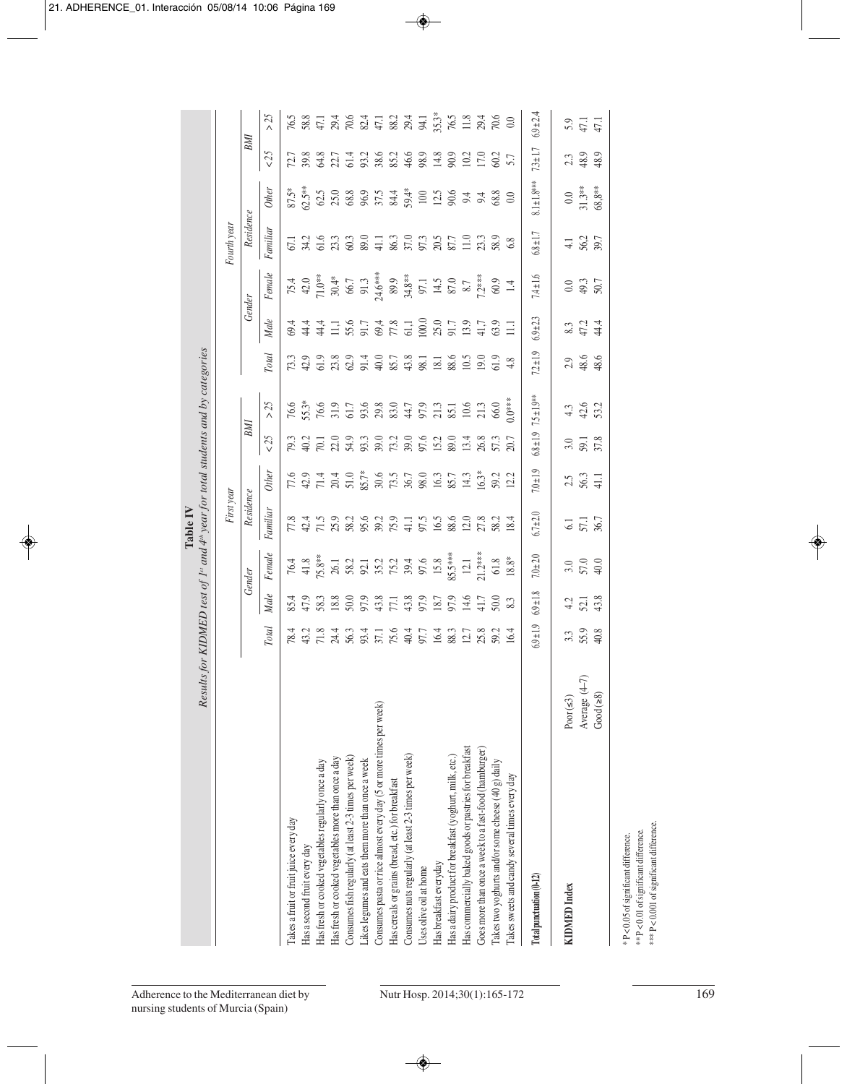|                                                                    | Results       |                          |                       |               | for KIDMED test of $Ist$ and $4th$ year for total students and by categories<br>First year          |                      |                                                                                                         |                                                                                                                                                                                                                                                                                              |                       |                                                                          |                       | Fourth year        |                                |                                                                                                                   |               |
|--------------------------------------------------------------------|---------------|--------------------------|-----------------------|---------------|-----------------------------------------------------------------------------------------------------|----------------------|---------------------------------------------------------------------------------------------------------|----------------------------------------------------------------------------------------------------------------------------------------------------------------------------------------------------------------------------------------------------------------------------------------------|-----------------------|--------------------------------------------------------------------------|-----------------------|--------------------|--------------------------------|-------------------------------------------------------------------------------------------------------------------|---------------|
|                                                                    |               |                          |                       | Gender        | Residence                                                                                           |                      | BМI                                                                                                     |                                                                                                                                                                                                                                                                                              |                       |                                                                          | Gender                | Residence          |                                | BMI                                                                                                               |               |
|                                                                    |               | Total                    | Male                  | Female        | Familiar                                                                                            | <b>Other</b>         | $<25$                                                                                                   | $>25$                                                                                                                                                                                                                                                                                        | <b>Total</b>          | Male                                                                     | Fenale                | Familiar           | <b>Other</b>                   | $\leq$ 25                                                                                                         | >25           |
| Takes a fruit or fruit juice every day                             |               |                          |                       |               |                                                                                                     |                      |                                                                                                         |                                                                                                                                                                                                                                                                                              |                       |                                                                          |                       |                    |                                |                                                                                                                   |               |
| Has a second fruit every day                                       |               |                          |                       |               |                                                                                                     |                      |                                                                                                         |                                                                                                                                                                                                                                                                                              |                       |                                                                          |                       |                    |                                |                                                                                                                   |               |
| Has fresh or cooked vegetables regularly once a day                |               |                          | 85.4<br>47.9<br>58.3  |               |                                                                                                     |                      |                                                                                                         |                                                                                                                                                                                                                                                                                              |                       |                                                                          |                       |                    |                                |                                                                                                                   |               |
| Has fresh or cooked vegetables more than once a day                |               |                          |                       |               | 8 1 1 1 9 1 9 1 9 1 9 1 1 1 1 1 1 2 3 0 1 2 8 1 1 2 8 1<br> - 1 1 1 2 8 9 8 7 4 5 4 8 7 8 7 8 7 8 1 |                      | n d H O O A A O A O A O A A O A A<br>P Q P Q A A A R P A D H Q A A A D Q<br>P Q P Q A A D R P Q D A D Q | $76.6$<br>55. <sup>2</sup> % CO <sub>1</sub><br>55.26 C <sub>1</sub><br>56.28 C <sub>1</sub><br>56.28 C <sub>1</sub><br>56.28 C <sub>1</sub><br>56.28 C <sub>1</sub><br>57.28 C <sub>1</sub><br>57.29 C <sub>1</sub><br>57.29 C <sub>1</sub><br>57.29 C <sub>1</sub><br>57.29 C <sub>1</sub> |                       | 8 4 4 1 5 6 7 6 7 6 9 9 6 7 9 7 9 7<br>8 4 4 1 5 6 7 6 7 6 9 8 7 9 7 9 7 |                       |                    |                                | 7: 8: 8: 7: 7: 7: 9: 9: 9: 9: 9: 9: 0: 0: 0: 0: 7: 7:<br>7: 8: 8: 7: 7: 7: 9: 8: 8: 4: 8: 7: 9: 0: 0: 0: 0: 7: 7: |               |
| Consumes fish regularly (at least 2-3 times per week)              |               |                          | $\frac{18.8}{50.0}$   |               |                                                                                                     |                      |                                                                                                         |                                                                                                                                                                                                                                                                                              |                       |                                                                          |                       |                    |                                |                                                                                                                   |               |
| Likes legumes and eats them more than once a week                  |               |                          |                       |               |                                                                                                     |                      |                                                                                                         |                                                                                                                                                                                                                                                                                              |                       |                                                                          |                       |                    |                                |                                                                                                                   |               |
| Consumes pasta or rice almost every day (5 or more times per week) |               |                          |                       |               |                                                                                                     |                      |                                                                                                         |                                                                                                                                                                                                                                                                                              |                       |                                                                          |                       |                    |                                |                                                                                                                   |               |
| Has cereals or grains (bread, etc.) for breakfast                  |               |                          |                       |               |                                                                                                     |                      |                                                                                                         |                                                                                                                                                                                                                                                                                              |                       |                                                                          |                       |                    |                                |                                                                                                                   |               |
| Consumes nuts regularly (at least 2-3 times per week)              |               |                          |                       |               |                                                                                                     |                      |                                                                                                         |                                                                                                                                                                                                                                                                                              |                       |                                                                          |                       |                    |                                |                                                                                                                   |               |
| Uses olive oil at home                                             |               |                          |                       |               |                                                                                                     |                      |                                                                                                         |                                                                                                                                                                                                                                                                                              |                       |                                                                          |                       |                    |                                |                                                                                                                   |               |
| Has breakfast everyday                                             |               |                          |                       |               |                                                                                                     |                      |                                                                                                         |                                                                                                                                                                                                                                                                                              |                       |                                                                          |                       |                    |                                |                                                                                                                   |               |
| Has a dairy product for breakfast (yoghurt, milk, etc.)            |               |                          |                       |               |                                                                                                     |                      |                                                                                                         |                                                                                                                                                                                                                                                                                              |                       |                                                                          |                       |                    |                                |                                                                                                                   |               |
| Has commercially baked goods or pastries for breakfast             |               |                          |                       |               |                                                                                                     |                      |                                                                                                         |                                                                                                                                                                                                                                                                                              |                       |                                                                          |                       |                    |                                |                                                                                                                   |               |
| Goes more than once a week to a fast-food (hamburger)              |               |                          |                       |               |                                                                                                     |                      |                                                                                                         |                                                                                                                                                                                                                                                                                              |                       |                                                                          |                       |                    |                                |                                                                                                                   |               |
| Takes two yoghurts and/or some cheese (40 g) daily                 |               |                          |                       |               |                                                                                                     |                      |                                                                                                         |                                                                                                                                                                                                                                                                                              |                       |                                                                          |                       |                    |                                |                                                                                                                   |               |
| Takes sweets and candy several times every day                     |               |                          |                       |               |                                                                                                     |                      |                                                                                                         |                                                                                                                                                                                                                                                                                              |                       |                                                                          |                       |                    |                                |                                                                                                                   |               |
| Total punctuation (0-12)                                           |               | $6.9 \pm 1.9$            | $6.9 \pm 1.8$         | $7.0 + 2.0$   | $6.7 \pm 2.0$                                                                                       | $7.0 + 1.9$          | $6.8 \pm 1.9$                                                                                           | $7.5 \pm 1.9$ **                                                                                                                                                                                                                                                                             | $7.2 \pm 1.9$         | $6.9 \pm 2.3$                                                            | $7.4 \pm 1.6$         | $6.8 \pm 1.7$      | $8.1 \pm 1.8***$               | $7.3 \pm 1.7$                                                                                                     | $6.9 \pm 2.4$ |
| <b>KIDMED</b> Index                                                | Poor $(53)$   |                          |                       |               |                                                                                                     |                      |                                                                                                         |                                                                                                                                                                                                                                                                                              |                       |                                                                          |                       |                    |                                |                                                                                                                   |               |
|                                                                    | Average (4-7) | $3.3$<br>$5.9$<br>$40.8$ | $4.2$<br>52.1<br>43.3 | $3.0$<br>57.0 | 6.1<br>57.1                                                                                         | $25$<br>56.3<br>41.1 | 3.0<br>59.1<br>37.8                                                                                     | $4.3$<br>$42.6$<br>$53.2$                                                                                                                                                                                                                                                                    | $2.9$<br>48.6<br>48.6 | s<br>474<br>83                                                           | $0.0$<br>49.3<br>50.7 | $\frac{4.1}{56.2}$ | $\frac{0.0}{31.3**}$<br>68,8** | $23$<br>48.9                                                                                                      | 3, 47.1       |
|                                                                    | Good $(28)$   |                          |                       |               |                                                                                                     |                      |                                                                                                         |                                                                                                                                                                                                                                                                                              |                       |                                                                          |                       |                    |                                |                                                                                                                   |               |

\* P < 0.05 of significant difference.<br>\*\* P < 0.01 of significant difference.<br>\*\*\* P < 0.001 of significant difference. \*\*\* P < 0.001 of significant difference. \*\* P < 0.01 of significant difference. \* P < 0.05 of significant difference.

**Table IV**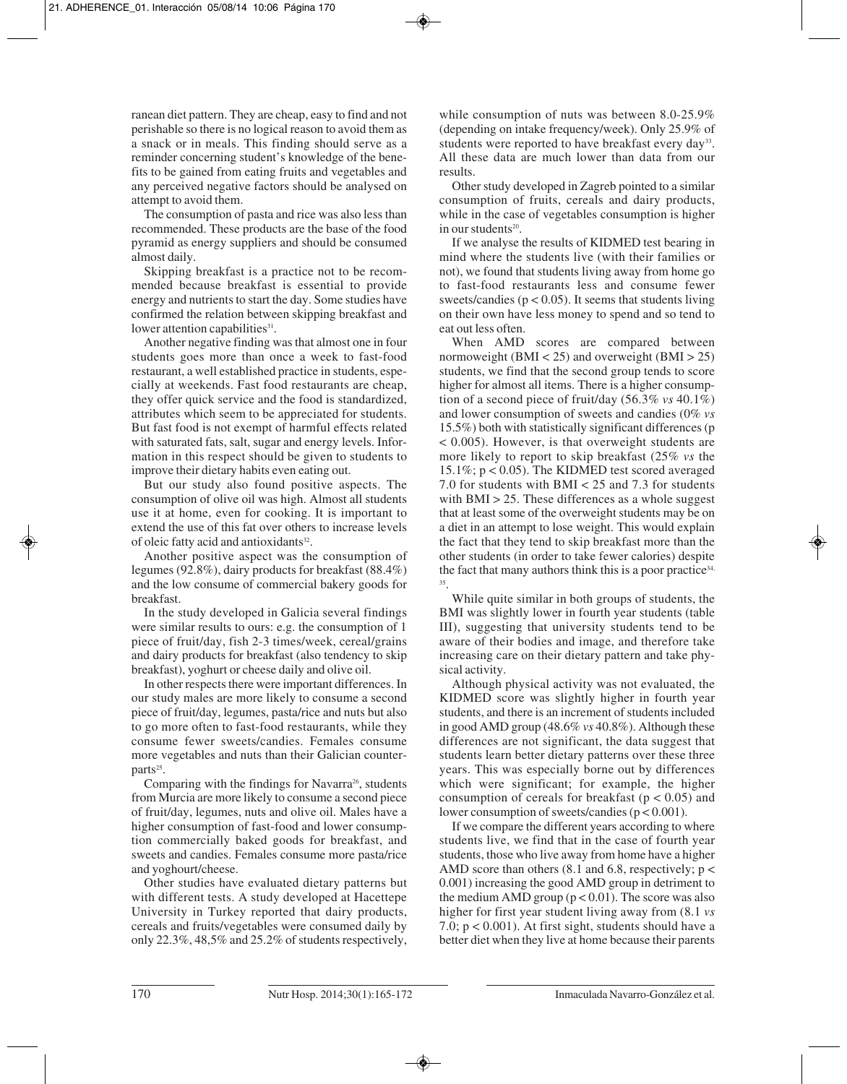ranean diet pattern. They are cheap, easy to find and not perishable so there is no logical reason to avoid them as a snack or in meals. This finding should serve as a reminder concerning student's knowledge of the benefits to be gained from eating fruits and vegetables and any perceived negative factors should be analysed on attempt to avoid them.

The consumption of pasta and rice was also less than recommended. These products are the base of the food pyramid as energy suppliers and should be consumed almost daily.

Skipping breakfast is a practice not to be recommended because breakfast is essential to provide energy and nutrients to start the day. Some studies have confirmed the relation between skipping breakfast and lower attention capabilities<sup>31</sup>.

Another negative finding was that almost one in four students goes more than once a week to fast-food restaurant, a well established practice in students, especially at weekends. Fast food restaurants are cheap, they offer quick service and the food is standardized, attributes which seem to be appreciated for students. But fast food is not exempt of harmful effects related with saturated fats, salt, sugar and energy levels. Information in this respect should be given to students to improve their dietary habits even eating out.

But our study also found positive aspects. The consumption of olive oil was high. Almost all students use it at home, even for cooking. It is important to extend the use of this fat over others to increase levels of oleic fatty acid and antioxidants<sup>32</sup>.

Another positive aspect was the consumption of legumes (92.8%), dairy products for breakfast (88.4%) and the low consume of commercial bakery goods for breakfast.

In the study developed in Galicia several findings were similar results to ours: e.g. the consumption of 1 piece of fruit/day, fish 2-3 times/week, cereal/grains and dairy products for breakfast (also tendency to skip breakfast), yoghurt or cheese daily and olive oil.

In other respects there were important differences. In our study males are more likely to consume a second piece of fruit/day, legumes, pasta/rice and nuts but also to go more often to fast-food restaurants, while they consume fewer sweets/candies. Females consume more vegetables and nuts than their Galician counterparts<sup>25</sup>.

Comparing with the findings for Navarra<sup>26</sup>, students from Murcia are more likely to consume a second piece of fruit/day, legumes, nuts and olive oil. Males have a higher consumption of fast-food and lower consumption commercially baked goods for breakfast, and sweets and candies. Females consume more pasta/rice and yoghourt/cheese.

Other studies have evaluated dietary patterns but with different tests. A study developed at Hacettepe University in Turkey reported that dairy products, cereals and fruits/vegetables were consumed daily by only 22.3%, 48,5% and 25.2% of students respectively,

while consumption of nuts was between 8.0-25.9% (depending on intake frequency/week). Only 25.9% of students were reported to have breakfast every day<sup>33</sup>. All these data are much lower than data from our results.

Other study developed in Zagreb pointed to a similar consumption of fruits, cereals and dairy products, while in the case of vegetables consumption is higher in our students<sup>20</sup>.

If we analyse the results of KIDMED test bearing in mind where the students live (with their families or not), we found that students living away from home go to fast-food restaurants less and consume fewer sweets/candies ( $p < 0.05$ ). It seems that students living on their own have less money to spend and so tend to eat out less often.

When AMD scores are compared between normoweight (BMI < 25) and overweight (BMI > 25) students, we find that the second group tends to score higher for almost all items. There is a higher consumption of a second piece of fruit/day (56.3% *vs* 40.1%) and lower consumption of sweets and candies (0% *vs* 15.5%) both with statistically significant differences (p < 0.005). However, is that overweight students are more likely to report to skip breakfast (25% *vs* the 15.1%; p < 0.05). The KIDMED test scored averaged 7.0 for students with BMI < 25 and 7.3 for students with  $BMI > 25$ . These differences as a whole suggest that at least some of the overweight students may be on a diet in an attempt to lose weight. This would explain the fact that they tend to skip breakfast more than the other students (in order to take fewer calories) despite the fact that many authors think this is a poor practice<sup>34,</sup> 35.

While quite similar in both groups of students, the BMI was slightly lower in fourth year students (table III), suggesting that university students tend to be aware of their bodies and image, and therefore take increasing care on their dietary pattern and take physical activity.

Although physical activity was not evaluated, the KIDMED score was slightly higher in fourth year students, and there is an increment of students included in good AMD group (48.6% *vs* 40.8%). Although these differences are not significant, the data suggest that students learn better dietary patterns over these three years. This was especially borne out by differences which were significant; for example, the higher consumption of cereals for breakfast ( $p < 0.05$ ) and lower consumption of sweets/candies (p < 0.001).

If we compare the different years according to where students live, we find that in the case of fourth year students, those who live away from home have a higher AMD score than others (8.1 and 6.8, respectively; p < 0.001) increasing the good AMD group in detriment to the medium AMD group  $(p < 0.01)$ . The score was also higher for first year student living away from (8.1 *vs* 7.0; p < 0.001). At first sight, students should have a better diet when they live at home because their parents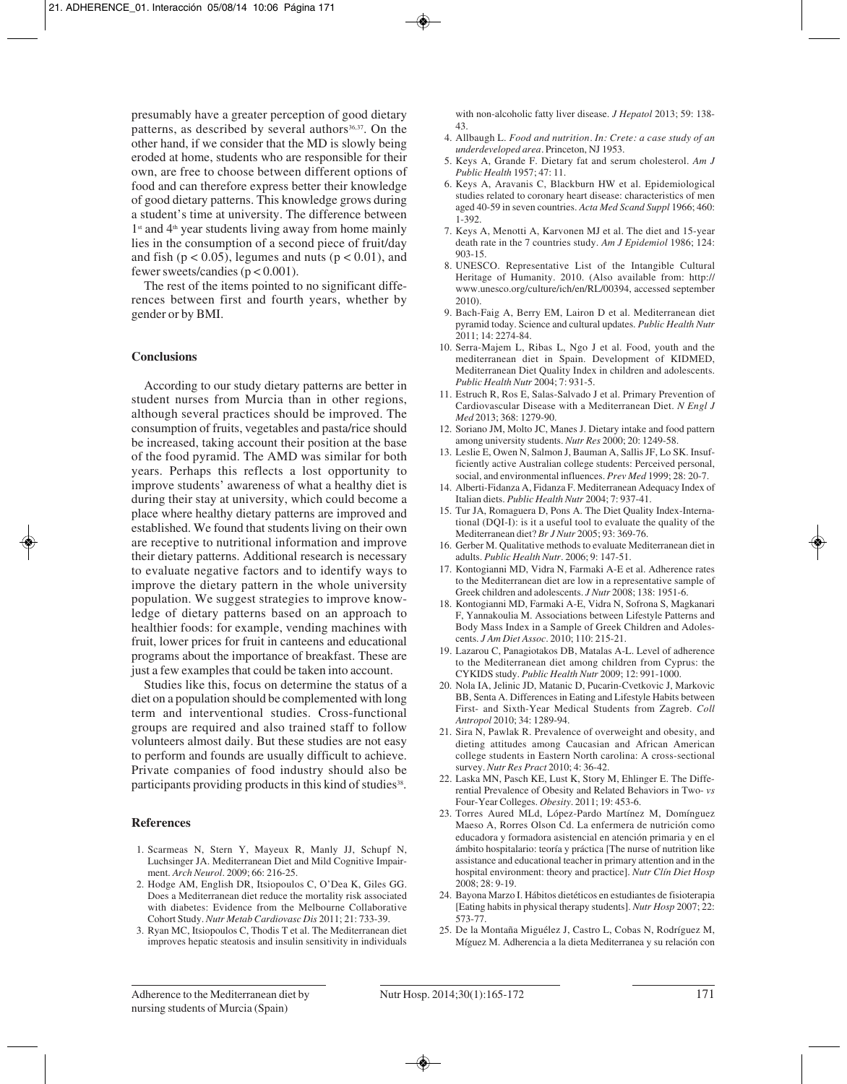presumably have a greater perception of good dietary patterns, as described by several authors<sup>36,37</sup>. On the other hand, if we consider that the MD is slowly being eroded at home, students who are responsible for their own, are free to choose between different options of food and can therefore express better their knowledge of good dietary patterns. This knowledge grows during a student's time at university. The difference between  $1<sup>st</sup>$  and  $4<sup>th</sup>$  year students living away from home mainly lies in the consumption of a second piece of fruit/day and fish ( $p < 0.05$ ), legumes and nuts ( $p < 0.01$ ), and fewer sweets/candies  $(p < 0.001)$ .

The rest of the items pointed to no significant differences between first and fourth years, whether by gender or by BMI.

#### **Conclusions**

According to our study dietary patterns are better in student nurses from Murcia than in other regions, although several practices should be improved. The consumption of fruits, vegetables and pasta/rice should be increased, taking account their position at the base of the food pyramid. The AMD was similar for both years. Perhaps this reflects a lost opportunity to improve students' awareness of what a healthy diet is during their stay at university, which could become a place where healthy dietary patterns are improved and established. We found that students living on their own are receptive to nutritional information and improve their dietary patterns. Additional research is necessary to evaluate negative factors and to identify ways to improve the dietary pattern in the whole university population. We suggest strategies to improve knowledge of dietary patterns based on an approach to healthier foods: for example, vending machines with fruit, lower prices for fruit in canteens and educational programs about the importance of breakfast. These are just a few examples that could be taken into account.

Studies like this, focus on determine the status of a diet on a population should be complemented with long term and interventional studies. Cross-functional groups are required and also trained staff to follow volunteers almost daily. But these studies are not easy to perform and founds are usually difficult to achieve. Private companies of food industry should also be participants providing products in this kind of studies<sup>38</sup>.

#### **References**

- 1. Scarmeas N, Stern Y, Mayeux R, Manly JJ, Schupf N, Luchsinger JA. Mediterranean Diet and Mild Cognitive Impairment. *Arch Neurol*. 2009; 66: 216-25.
- 2. Hodge AM, English DR, Itsiopoulos C, O'Dea K, Giles GG. Does a Mediterranean diet reduce the mortality risk associated with diabetes: Evidence from the Melbourne Collaborative Cohort Study. *Nutr Metab Cardiovasc Dis* 2011; 21: 733-39.
- 3. Ryan MC, Itsiopoulos C, Thodis T et al. The Mediterranean diet improves hepatic steatosis and insulin sensitivity in individuals

with non-alcoholic fatty liver disease. *J Hepatol* 2013; 59: 138- 43.

- 4. Allbaugh L. *Food and nutrition. In: Crete: a case study of an underdeveloped area.* Princeton, NJ 1953.
- 5. Keys A, Grande F. Dietary fat and serum cholesterol. *Am J Public Health* 1957; 47: 11.
- 6. Keys A, Aravanis C, Blackburn HW et al. Epidemiological studies related to coronary heart disease: characteristics of men aged 40-59 in seven countries. *Acta Med Scand Suppl* 1966; 460: 1-392.
- 7. Keys A, Menotti A, Karvonen MJ et al. The diet and 15-year death rate in the 7 countries study. *Am J Epidemiol* 1986; 124: 903-15.
- 8. UNESCO. Representative List of the Intangible Cultural Heritage of Humanity. 2010. (Also available from: http:// www.unesco.org/culture/ich/en/RL/00394, accessed september 2010).
- 9. Bach-Faig A, Berry EM, Lairon D et al. Mediterranean diet pyramid today. Science and cultural updates. *Public Health Nutr* 2011; 14: 2274-84.
- 10. Serra-Majem L, Ribas L, Ngo J et al. Food, youth and the mediterranean diet in Spain. Development of KIDMED, Mediterranean Diet Quality Index in children and adolescents. *Public Health Nutr* 2004; 7: 931-5.
- 11. Estruch R, Ros E, Salas-Salvado J et al. Primary Prevention of Cardiovascular Disease with a Mediterranean Diet. *N Engl J Med* 2013; 368: 1279-90.
- 12. Soriano JM, Molto JC, Manes J. Dietary intake and food pattern among university students. *Nutr Res* 2000; 20: 1249-58.
- 13. Leslie E, Owen N, Salmon J, Bauman A, Sallis JF, Lo SK. Insufficiently active Australian college students: Perceived personal, social, and environmental influences. *Prev Med* 1999; 28: 20-7.
- 14. Alberti-Fidanza A, Fidanza F. Mediterranean Adequacy Index of Italian diets. *Public Health Nutr* 2004; 7: 937-41.
- 15. Tur JA, Romaguera D, Pons A. The Diet Quality Index-International (DQI-I): is it a useful tool to evaluate the quality of the Mediterranean diet? *Br J Nutr* 2005; 93: 369-76.
- 16. Gerber M. Qualitative methods to evaluate Mediterranean diet in adults. *Public Health Nutr*. 2006; 9: 147-51.
- 17. Kontogianni MD, Vidra N, Farmaki A-E et al. Adherence rates to the Mediterranean diet are low in a representative sample of Greek children and adolescents. *J Nutr* 2008; 138: 1951-6.
- 18. Kontogianni MD, Farmaki A-E, Vidra N, Sofrona S, Magkanari F, Yannakoulia M. Associations between Lifestyle Patterns and Body Mass Index in a Sample of Greek Children and Adolescents. *J Am Diet Assoc*. 2010; 110: 215-21.
- 19. Lazarou C, Panagiotakos DB, Matalas A-L. Level of adherence to the Mediterranean diet among children from Cyprus: the CYKIDS study. *Public Health Nutr* 2009; 12: 991-1000.
- 20. Nola IA, Jelinic JD, Matanic D, Pucarin-Cvetkovic J, Markovic BB, Senta A. Differences in Eating and Lifestyle Habits between First- and Sixth-Year Medical Students from Zagreb. *Coll Antropol* 2010; 34: 1289-94.
- 21. Sira N, Pawlak R. Prevalence of overweight and obesity, and dieting attitudes among Caucasian and African American college students in Eastern North carolina: A cross-sectional survey. *Nutr Res Pract* 2010; 4: 36-42.
- 22. Laska MN, Pasch KE, Lust K, Story M, Ehlinger E. The Differential Prevalence of Obesity and Related Behaviors in Two- *vs* Four-Year Colleges. *Obesity*. 2011; 19: 453-6.
- 23. Torres Aured MLd, López-Pardo Martínez M, Domínguez Maeso A, Rorres Olson Cd. La enfermera de nutrición como educadora y formadora asistencial en atención primaria y en el ámbito hospitalario: teoría y práctica [The nurse of nutrition like assistance and educational teacher in primary attention and in the hospital environment: theory and practice]. *Nutr Clín Diet Hosp* 2008; 28: 9-19.
- 24. Bayona Marzo I. Hábitos dietéticos en estudiantes de fisioterapia [Eating habits in physical therapy students]. *Nutr Hosp* 2007; 22: 573-77.
- 25. De la Montaña Miguélez J, Castro L, Cobas N, Rodríguez M, Míguez M. Adherencia a la dieta Mediterranea y su relación con